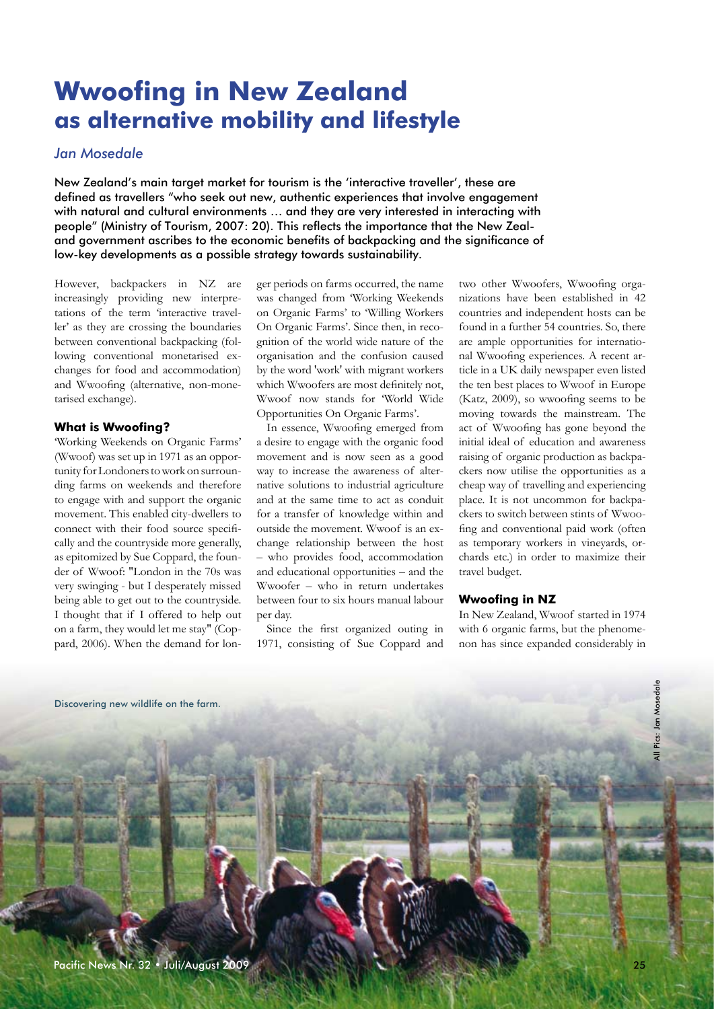# **Wwoofing in New Zealand as alternative mobility and lifestyle**

## *Jan Mosedale*

New Zealand's main target market for tourism is the 'interactive traveller', these are defined as travellers "who seek out new, authentic experiences that involve engagement with natural and cultural environments … and they are very interested in interacting with people" (Ministry of Tourism, 2007: 20). This reflects the importance that the New Zealand government ascribes to the economic benefits of backpacking and the significance of low-key developments as a possible strategy towards sustainability.

However, backpackers in NZ are increasingly providing new interpretations of the term 'interactive traveller' as they are crossing the boundaries between conventional backpacking (following conventional monetarised exchanges for food and accommodation) and Wwoofing (alternative, non-monetarised exchange).

#### **What is Wwoofing?**

'Working Weekends on Organic Farms' (Wwoof) was set up in 1971 as an opportunity for Londoners to work on surrounding farms on weekends and therefore to engage with and support the organic movement. This enabled city-dwellers to connect with their food source specifically and the countryside more generally, as epitomized by Sue Coppard, the founder of Wwoof: "London in the 70s was very swinging - but I desperately missed being able to get out to the countryside. I thought that if I offered to help out on a farm, they would let me stay" (Coppard, 2006). When the demand for longer periods on farms occurred, the name was changed from 'Working Weekends on Organic Farms' to 'Willing Workers On Organic Farms'. Since then, in recognition of the world wide nature of the organisation and the confusion caused by the word 'work' with migrant workers which Wwoofers are most definitely not, Wwoof now stands for 'World Wide Opportunities On Organic Farms'.

In essence, Wwoofing emerged from a desire to engage with the organic food movement and is now seen as a good way to increase the awareness of alternative solutions to industrial agriculture and at the same time to act as conduit for a transfer of knowledge within and outside the movement. Wwoof is an exchange relationship between the host – who provides food, accommodation and educational opportunities – and the Wwoofer – who in return undertakes between four to six hours manual labour per day.

Since the first organized outing in 1971, consisting of Sue Coppard and two other Wwoofers, Wwoofing organizations have been established in 42 countries and independent hosts can be found in a further 54 countries. So, there are ample opportunities for international Wwoofing experiences. A recent article in a UK daily newspaper even listed the ten best places to Wwoof in Europe (Katz, 2009), so wwoofing seems to be moving towards the mainstream. The act of Wwoofing has gone beyond the initial ideal of education and awareness raising of organic production as backpackers now utilise the opportunities as a cheap way of travelling and experiencing place. It is not uncommon for backpackers to switch between stints of Wwoofing and conventional paid work (often as temporary workers in vineyards, orchards etc.) in order to maximize their travel budget.

#### **Wwoofing in NZ**

In New Zealand, Wwoof started in 1974 with 6 organic farms, but the phenomenon has since expanded considerably in



All Pics: Jan Mosedale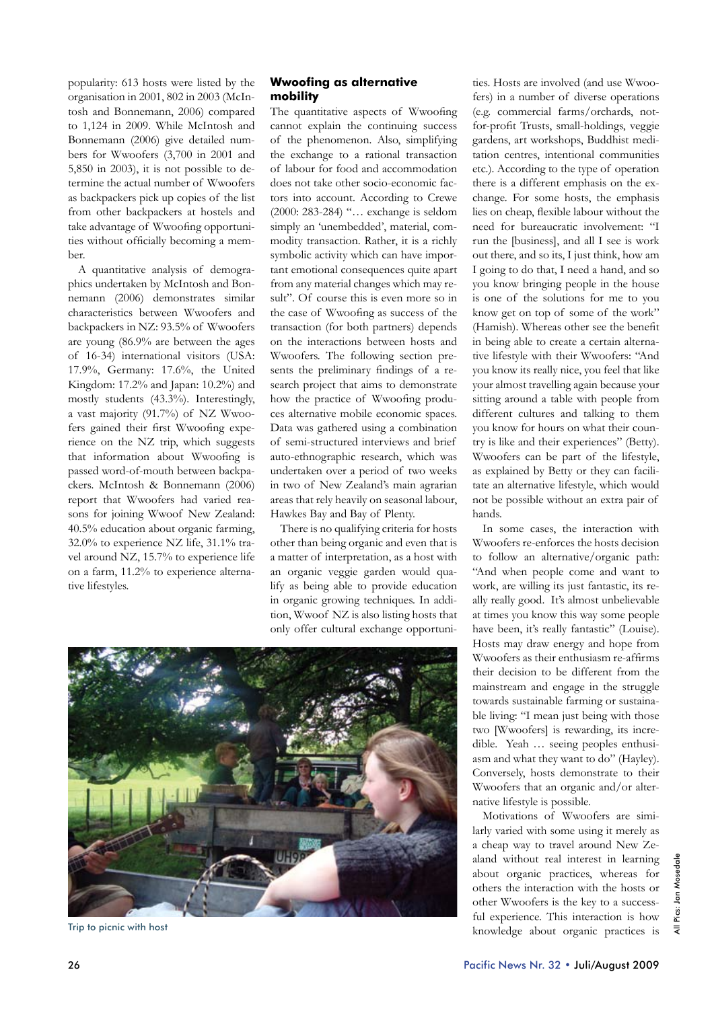popularity: 613 hosts were listed by the organisation in 2001, 802 in 2003 (McIntosh and Bonnemann, 2006) compared to 1,124 in 2009. While McIntosh and Bonnemann (2006) give detailed numbers for Wwoofers (3,700 in 2001 and 5,850 in 2003), it is not possible to determine the actual number of Wwoofers as backpackers pick up copies of the list from other backpackers at hostels and take advantage of Wwoofing opportunities without officially becoming a member.

A quantitative analysis of demographics undertaken by McIntosh and Bonnemann (2006) demonstrates similar characteristics between Wwoofers and backpackers in NZ: 93.5% of Wwoofers are young (86.9% are between the ages of 16-34) international visitors (USA: 17.9%, Germany: 17.6%, the United Kingdom: 17.2% and Japan: 10.2%) and mostly students (43.3%). Interestingly, a vast majority (91.7%) of NZ Wwoofers gained their first Wwoofing experience on the NZ trip, which suggests that information about Wwoofing is passed word-of-mouth between backpackers. McIntosh & Bonnemann (2006) report that Wwoofers had varied reasons for joining Wwoof New Zealand: 40.5% education about organic farming, 32.0% to experience NZ life, 31.1% travel around NZ, 15.7% to experience life on a farm, 11.2% to experience alternative lifestyles.

### **Wwoofing as alternative mobility**

The quantitative aspects of Wwoofing cannot explain the continuing success of the phenomenon. Also, simplifying the exchange to a rational transaction of labour for food and accommodation does not take other socio-economic factors into account. According to Crewe (2000: 283-284) "… exchange is seldom simply an 'unembedded', material, commodity transaction. Rather, it is a richly symbolic activity which can have important emotional consequences quite apart from any material changes which may result". Of course this is even more so in the case of Wwoofing as success of the transaction (for both partners) depends on the interactions between hosts and Wwoofers. The following section presents the preliminary findings of a research project that aims to demonstrate how the practice of Wwoofing produces alternative mobile economic spaces. Data was gathered using a combination of semi-structured interviews and brief auto-ethnographic research, which was undertaken over a period of two weeks in two of New Zealand's main agrarian areas that rely heavily on seasonal labour, Hawkes Bay and Bay of Plenty.

There is no qualifying criteria for hosts other than being organic and even that is a matter of interpretation, as a host with an organic veggie garden would qualify as being able to provide education in organic growing techniques. In addition, Wwoof NZ is also listing hosts that only offer cultural exchange opportuni-

ties. Hosts are involved (and use Wwoofers) in a number of diverse operations (e.g. commercial farms/orchards, notfor-profit Trusts, small-holdings, veggie gardens, art workshops, Buddhist meditation centres, intentional communities etc.). According to the type of operation there is a different emphasis on the exchange. For some hosts, the emphasis lies on cheap, flexible labour without the need for bureaucratic involvement: "I run the [business], and all I see is work out there, and so its, I just think, how am I going to do that, I need a hand, and so you know bringing people in the house is one of the solutions for me to you know get on top of some of the work" (Hamish). Whereas other see the benefit in being able to create a certain alternative lifestyle with their Wwoofers: "And you know its really nice, you feel that like your almost travelling again because your sitting around a table with people from different cultures and talking to them you know for hours on what their country is like and their experiences" (Betty). Wwoofers can be part of the lifestyle, as explained by Betty or they can facilitate an alternative lifestyle, which would not be possible without an extra pair of hands.

In some cases, the interaction with Wwoofers re-enforces the hosts decision to follow an alternative/organic path: "And when people come and want to work, are willing its just fantastic, its really really good. It's almost unbelievable at times you know this way some people have been, it's really fantastic" (Louise). Hosts may draw energy and hope from Wwoofers as their enthusiasm re-affirms their decision to be different from the mainstream and engage in the struggle towards sustainable farming or sustainable living: "I mean just being with those two [Wwoofers] is rewarding, its incredible. Yeah … seeing peoples enthusiasm and what they want to do" (Hayley). Conversely, hosts demonstrate to their Wwoofers that an organic and/or alternative lifestyle is possible.

Motivations of Wwoofers are similarly varied with some using it merely as a cheap way to travel around New Zealand without real interest in learning about organic practices, whereas for others the interaction with the hosts or other Wwoofers is the key to a successful experience. This interaction is how Trip to picnic with host and the state of the state of the state of the state of the state of the state of the state of the state of the state of the state of the state of the state of the state of the state of the state o